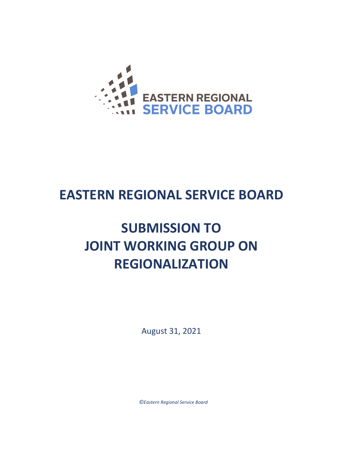

## **EASTERN REGIONAL SERVICE BOARD**

# **SUBMISSION TO JOINT WORKING GROUP ON REGIONALIZATION**

August 31, 2021

*©Eastern Regional Service Board*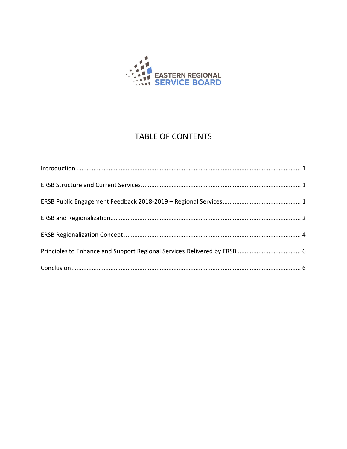

### **TABLE OF CONTENTS**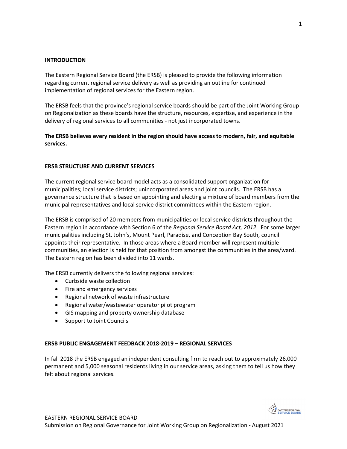#### **INTRODUCTION**

The Eastern Regional Service Board (the ERSB) is pleased to provide the following information regarding current regional service delivery as well as providing an outline for continued implementation of regional services for the Eastern region.

The ERSB feels that the province's regional service boards should be part of the Joint Working Group on Regionalization as these boards have the structure, resources, expertise, and experience in the delivery of regional services to all communities - not just incorporated towns.

**The ERSB believes every resident in the region should have access to modern, fair, and equitable services.** 

#### **ERSB STRUCTURE AND CURRENT SERVICES**

The current regional service board model acts as a consolidated support organization for municipalities; local service districts; unincorporated areas and joint councils. The ERSB has a governance structure that is based on appointing and electing a mixture of board members from the municipal representatives and local service district committees within the Eastern region.

The ERSB is comprised of 20 members from municipalities or local service districts throughout the Eastern region in accordance with Section 6 of the *Regional Service Board Act, 2012.* For some larger municipalities including St. John's, Mount Pearl, Paradise, and Conception Bay South, council appoints their representative. In those areas where a Board member will represent multiple communities, an election is held for that position from amongst the communities in the area/ward. The Eastern region has been divided into 11 wards.

The ERSB currently delivers the following regional services:

- Curbside waste collection
- Fire and emergency services
- Regional network of waste infrastructure
- Regional water/wastewater operator pilot program
- GIS mapping and property ownership database
- Support to Joint Councils

#### **ERSB PUBLIC ENGAGEMENT FEEDBACK 2018-2019 – REGIONAL SERVICES**

In fall 2018 the ERSB engaged an independent consulting firm to reach out to approximately 26,000 permanent and 5,000 seasonal residents living in our service areas, asking them to tell us how they felt about regional services.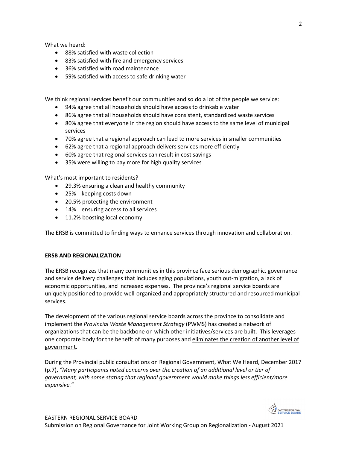What we heard:

- 88% satisfied with waste collection
- 83% satisfied with fire and emergency services
- 36% satisfied with road maintenance
- 59% satisfied with access to safe drinking water

We think regional services benefit our communities and so do a lot of the people we service:

- 94% agree that all households should have access to drinkable water
- 86% agree that all households should have consistent, standardized waste services
- 80% agree that everyone in the region should have access to the same level of municipal services
- 70% agree that a regional approach can lead to more services in smaller communities
- 62% agree that a regional approach delivers services more efficiently
- 60% agree that regional services can result in cost savings
- 35% were willing to pay more for high quality services

What's most important to residents?

- 29.3% ensuring a clean and healthy community
- 25% keeping costs down
- 20.5% protecting the environment
- 14% ensuring access to all services
- 11.2% boosting local economy

The ERSB is committed to finding ways to enhance services through innovation and collaboration.

#### **ERSB AND REGIONALIZATION**

The ERSB recognizes that many communities in this province face serious demographic, governance and service delivery challenges that includes aging populations, youth out-migration, a lack of economic opportunities, and increased expenses. The province's regional service boards are uniquely positioned to provide well-organized and appropriately structured and resourced municipal services.

The development of the various regional service boards across the province to consolidate and implement the *Provincial Waste Management Strategy* (PWMS) has created a network of organizations that can be the backbone on which other initiatives/services are built. This leverages one corporate body for the benefit of many purposes and eliminates the creation of another level of government.

During the Provincial public consultations on Regional Government, What We Heard, December 2017 (p.7), *"Many participants noted concerns over the creation of an additional level or tier of government, with some stating that regional government would make things less efficient/more expensive."*

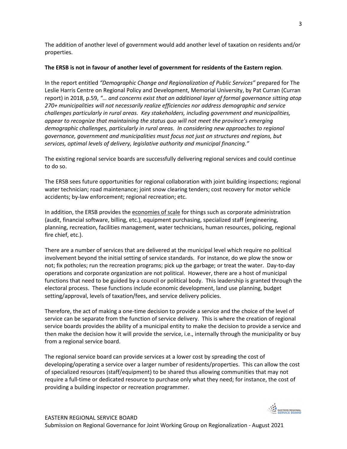The addition of another level of government would add another level of taxation on residents and/or properties.

#### **The ERSB is not in favour of another level of government for residents of the Eastern region**.

In the report entitled *"Demographic Change and Regionalization of Public Services"* prepared for The Leslie Harris Centre on Regional Policy and Development, Memorial University, by Pat Curran (Curran report) in 2018, p.59, *"… and concerns exist that an additional layer of formal governance sitting atop 270+ municipalities will not necessarily realize efficiencies nor address demographic and service challenges particularly in rural areas. Key stakeholders, including government and municipalities, appear to recognize that maintaining the status quo will not meet the province's emerging demographic challenges, particularly in rural areas. In considering new approaches to regional governance, government and municipalities must focus not just on structures and regions, but services, optimal levels of delivery, legislative authority and municipal financing."*

The existing regional service boards are successfully delivering regional services and could continue to do so.

The ERSB sees future opportunities for regional collaboration with joint building inspections; regional water technician; road maintenance; joint snow clearing tenders; cost recovery for motor vehicle accidents; by-law enforcement; regional recreation; etc.

In addition, the ERSB provides the economies of scale for things such as corporate administration (audit, financial software, billing, etc.), equipment purchasing, specialized staff (engineering, planning, recreation, facilities management, water technicians, human resources, policing, regional fire chief, etc.).

There are a number of services that are delivered at the municipal level which require no political involvement beyond the initial setting of service standards. For instance, do we plow the snow or not; fix potholes; run the recreation programs; pick up the garbage; or treat the water. Day-to-day operations and corporate organization are not political. However, there are a host of municipal functions that need to be guided by a council or political body. This leadership is granted through the electoral process. These functions include economic development, land use planning, budget setting/approval, levels of taxation/fees, and service delivery policies.

Therefore, the act of making a one-time decision to provide a service and the choice of the level of service can be separate from the function of service delivery. This is where the creation of regional service boards provides the ability of a municipal entity to make the decision to provide a service and then make the decision how it will provide the service, i.e., internally through the municipality or buy from a regional service board.

The regional service board can provide services at a lower cost by spreading the cost of developing/operating a service over a larger number of residents/properties. This can allow the cost of specialized resources (staff/equipment) to be shared thus allowing communities that may not require a full-time or dedicated resource to purchase only what they need; for instance, the cost of providing a building inspector or recreation programmer.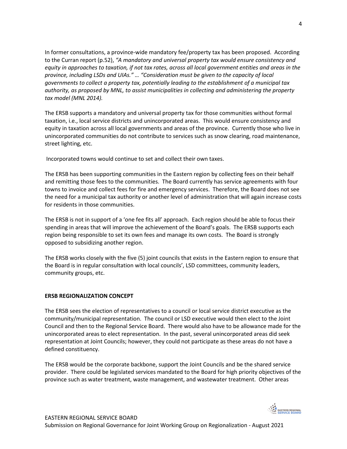In former consultations, a province-wide mandatory fee/property tax has been proposed. According to the Curran report (p.52), *"A mandatory and universal property tax would ensure consistency and equity in approaches to taxation, if not tax rates, across all local government entities and areas in the province, including LSDs and UIAs." … "Consideration must be given to the capacity of local governments to collect a property tax, potentially leading to the establishment of a municipal tax authority, as proposed by MNL, to assist municipalities in collecting and administering the property tax model (MNL 2014).* 

The ERSB supports a mandatory and universal property tax for those communities without formal taxation, i.e., local service districts and unincorporated areas. This would ensure consistency and equity in taxation across all local governments and areas of the province. Currently those who live in unincorporated communities do not contribute to services such as snow clearing, road maintenance, street lighting, etc.

Incorporated towns would continue to set and collect their own taxes.

The ERSB has been supporting communities in the Eastern region by collecting fees on their behalf and remitting those fees to the communities. The Board currently has service agreements with four towns to invoice and collect fees for fire and emergency services. Therefore, the Board does not see the need for a municipal tax authority or another level of administration that will again increase costs for residents in those communities.

The ERSB is not in support of a 'one fee fits all' approach. Each region should be able to focus their spending in areas that will improve the achievement of the Board's goals. The ERSB supports each region being responsible to set its own fees and manage its own costs. The Board is strongly opposed to subsidizing another region.

The ERSB works closely with the five (5) joint councils that exists in the Eastern region to ensure that the Board is in regular consultation with local councils', LSD committees, community leaders, community groups, etc.

#### **ERSB REGIONALIZATION CONCEPT**

The ERSB sees the election of representatives to a council or local service district executive as the community/municipal representation. The council or LSD executive would then elect to the Joint Council and then to the Regional Service Board. There would also have to be allowance made for the unincorporated areas to elect representation. In the past, several unincorporated areas did seek representation at Joint Councils; however, they could not participate as these areas do not have a defined constituency.

The ERSB would be the corporate backbone, support the Joint Councils and be the shared service provider. There could be legislated services mandated to the Board for high priority objectives of the province such as water treatment, waste management, and wastewater treatment. Other areas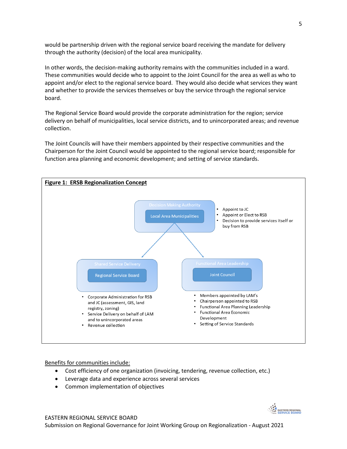would be partnership driven with the regional service board receiving the mandate for delivery through the authority (decision) of the local area municipality.

In other words, the decision-making authority remains with the communities included in a ward. These communities would decide who to appoint to the Joint Council for the area as well as who to appoint and/or elect to the regional service board. They would also decide what services they want and whether to provide the services themselves or buy the service through the regional service board.

The Regional Service Board would provide the corporate administration for the region; service delivery on behalf of municipalities, local service districts, and to unincorporated areas; and revenue collection.

The Joint Councils will have their members appointed by their respective communities and the Chairperson for the Joint Council would be appointed to the regional service board; responsible for function area planning and economic development; and setting of service standards.



Benefits for communities include:

- Cost efficiency of one organization (invoicing, tendering, revenue collection, etc.)
- Leverage data and experience across several services
- Common implementation of objectives

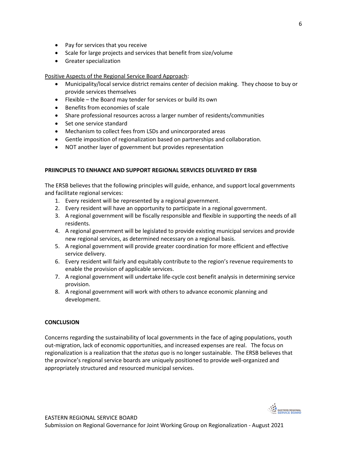- Pay for services that you receive
- Scale for large projects and services that benefit from size/volume
- Greater specialization

Positive Aspects of the Regional Service Board Approach:

- Municipality/local service district remains center of decision making. They choose to buy or provide services themselves
- Flexible the Board may tender for services or build its own
- Benefits from economies of scale
- Share professional resources across a larger number of residents/communities
- Set one service standard
- Mechanism to collect fees from LSDs and unincorporated areas
- Gentle imposition of regionalization based on partnerships and collaboration.
- NOT another layer of government but provides representation

#### **PRIINCIPLES TO ENHANCE AND SUPPORT REGIONAL SERVICES DELIVERED BY ERSB**

The ERSB believes that the following principles will guide, enhance, and support local governments and facilitate regional services:

- 1. Every resident will be represented by a regional government.
- 2. Every resident will have an opportunity to participate in a regional government.
- 3. A regional government will be fiscally responsible and flexible in supporting the needs of all residents.
- 4. A regional government will be legislated to provide existing municipal services and provide new regional services, as determined necessary on a regional basis.
- 5. A regional government will provide greater coordination for more efficient and effective service delivery.
- 6. Every resident will fairly and equitably contribute to the region's revenue requirements to enable the provision of applicable services.
- 7. A regional government will undertake life-cycle cost benefit analysis in determining service provision.
- 8. A regional government will work with others to advance economic planning and development.

#### **CONCLUSION**

Concerns regarding the sustainability of local governments in the face of aging populations, youth out-migration, lack of economic opportunities, and increased expenses are real. The focus on regionalization is a realization that the *status quo* is no longer sustainable. The ERSB believes that the province's regional service boards are uniquely positioned to provide well-organized and appropriately structured and resourced municipal services.